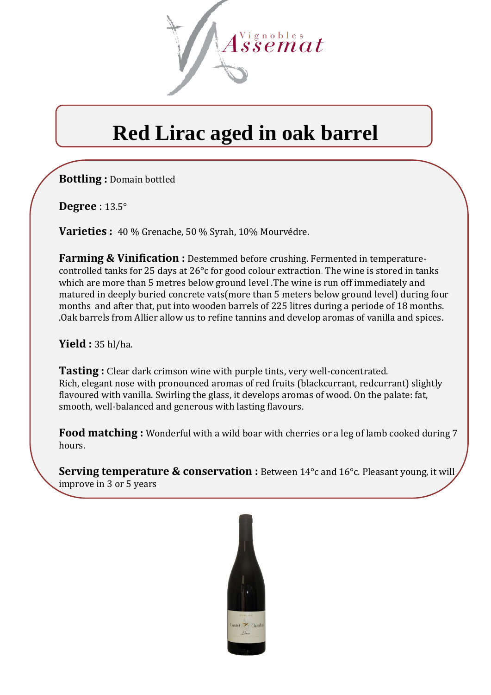

# **Red Lirac aged in oak barrel**

**Bottling :** Domain bottled

**Degree** : 13.5°

**Varieties :** 40 % Grenache, 50 % Syrah, 10% Mourvédre.

**Farming & Vinification :** Destemmed before crushing. Fermented in temperaturecontrolled tanks for 25 days at 26°c for good colour extraction. The wine is stored in tanks which are more than 5 metres below ground level .The wine is run off immediately and matured in deeply buried concrete vats(more than 5 meters below ground level) during four months and after that, put into wooden barrels of 225 litres during a periode of 18 months. .Oak barrels from Allier allow us to refine tannins and develop aromas of vanilla and spices.

**Yield :** 35 hl/ha.

**Tasting :** Clear dark crimson wine with purple tints, very well-concentrated. Rich, elegant nose with pronounced aromas of red fruits (blackcurrant, redcurrant) slightly flavoured with vanilla. Swirling the glass, it develops aromas of wood. On the palate: fat, smooth, well-balanced and generous with lasting flavours.

**Food matching :** Wonderful with a wild boar with cherries or a leg of lamb cooked during 7 hours.

**Serving temperature & conservation :** Between 14°c and 16°c. Pleasant young, it will improve in 3 or 5 years